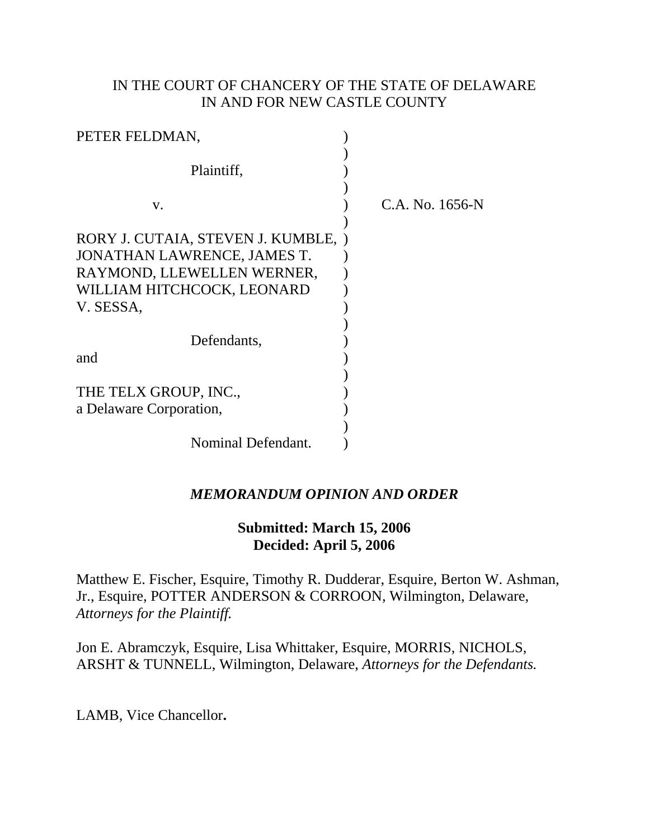## IN THE COURT OF CHANCERY OF THE STATE OF DELAWARE IN AND FOR NEW CASTLE COUNTY

| PETER FELDMAN,                          |                 |
|-----------------------------------------|-----------------|
| Plaintiff,                              |                 |
|                                         |                 |
| V.                                      | C.A. No. 1656-N |
| RORY J. CUTAIA, STEVEN J. KUMBLE, )     |                 |
| JONATHAN LAWRENCE, JAMES T.             |                 |
| RAYMOND, LLEWELLEN WERNER,              |                 |
| WILLIAM HITCHCOCK, LEONARD<br>V. SESSA, |                 |
|                                         |                 |
| Defendants,                             |                 |
| and                                     |                 |
| THE TELX GROUP, INC.,                   |                 |
| a Delaware Corporation,                 |                 |
|                                         |                 |
| Nominal Defendant.                      |                 |

# *MEMORANDUM OPINION AND ORDER*

## **Submitted: March 15, 2006 Decided: April 5, 2006**

Matthew E. Fischer, Esquire, Timothy R. Dudderar, Esquire, Berton W. Ashman, Jr., Esquire, POTTER ANDERSON & CORROON, Wilmington, Delaware, *Attorneys for the Plaintiff.*

Jon E. Abramczyk, Esquire, Lisa Whittaker, Esquire, MORRIS, NICHOLS, ARSHT & TUNNELL, Wilmington, Delaware, *Attorneys for the Defendants.*

LAMB, Vice Chancellor**.**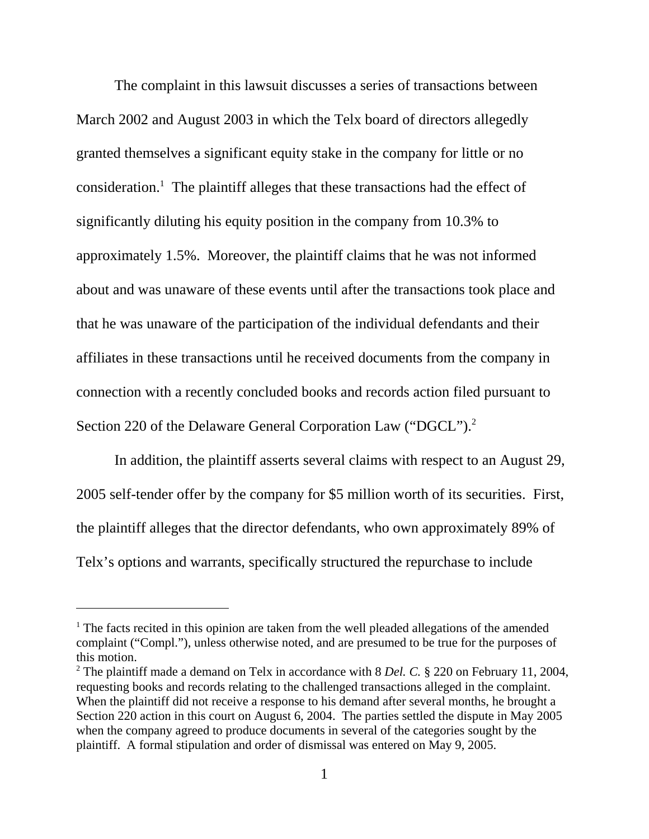The complaint in this lawsuit discusses a series of transactions between March 2002 and August 2003 in which the Telx board of directors allegedly granted themselves a significant equity stake in the company for little or no consideration.<sup>1</sup> The plaintiff alleges that these transactions had the effect of significantly diluting his equity position in the company from 10.3% to approximately 1.5%. Moreover, the plaintiff claims that he was not informed about and was unaware of these events until after the transactions took place and that he was unaware of the participation of the individual defendants and their affiliates in these transactions until he received documents from the company in connection with a recently concluded books and records action filed pursuant to Section 220 of the Delaware General Corporation Law ("DGCL").<sup>2</sup>

In addition, the plaintiff asserts several claims with respect to an August 29, 2005 self-tender offer by the company for \$5 million worth of its securities. First, the plaintiff alleges that the director defendants, who own approximately 89% of Telx's options and warrants, specifically structured the repurchase to include

<sup>&</sup>lt;sup>1</sup> The facts recited in this opinion are taken from the well pleaded allegations of the amended complaint ("Compl."), unless otherwise noted, and are presumed to be true for the purposes of this motion.

<sup>&</sup>lt;sup>2</sup> The plaintiff made a demand on Telx in accordance with 8 *Del. C.* § 220 on February 11, 2004, requesting books and records relating to the challenged transactions alleged in the complaint. When the plaintiff did not receive a response to his demand after several months, he brought a Section 220 action in this court on August 6, 2004. The parties settled the dispute in May 2005 when the company agreed to produce documents in several of the categories sought by the plaintiff. A formal stipulation and order of dismissal was entered on May 9, 2005.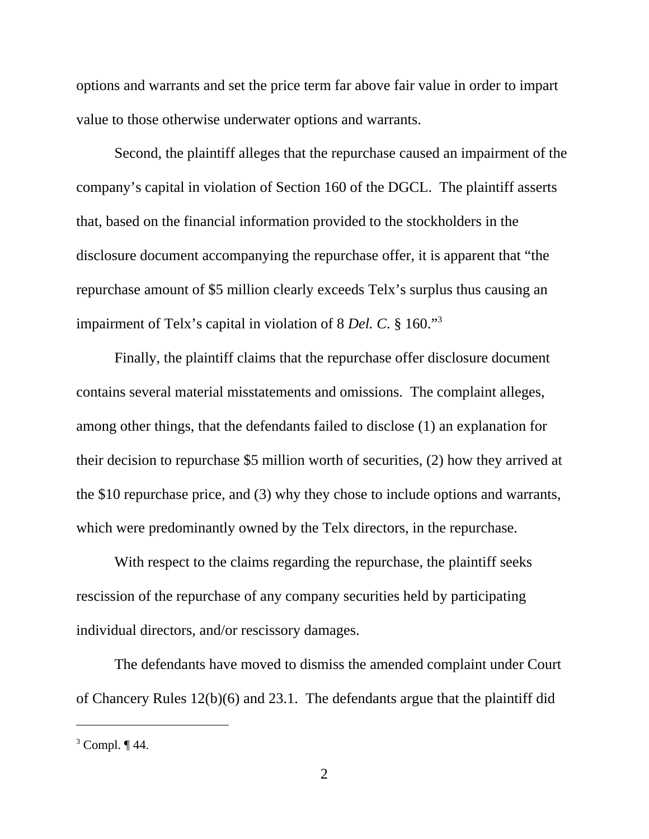options and warrants and set the price term far above fair value in order to impart value to those otherwise underwater options and warrants.

Second, the plaintiff alleges that the repurchase caused an impairment of the company's capital in violation of Section 160 of the DGCL. The plaintiff asserts that, based on the financial information provided to the stockholders in the disclosure document accompanying the repurchase offer, it is apparent that "the repurchase amount of \$5 million clearly exceeds Telx's surplus thus causing an impairment of Telx's capital in violation of 8 *Del. C*. § 160."3

Finally, the plaintiff claims that the repurchase offer disclosure document contains several material misstatements and omissions. The complaint alleges, among other things, that the defendants failed to disclose (1) an explanation for their decision to repurchase \$5 million worth of securities, (2) how they arrived at the \$10 repurchase price, and (3) why they chose to include options and warrants, which were predominantly owned by the Telx directors, in the repurchase.

With respect to the claims regarding the repurchase, the plaintiff seeks rescission of the repurchase of any company securities held by participating individual directors, and/or rescissory damages.

The defendants have moved to dismiss the amended complaint under Court of Chancery Rules 12(b)(6) and 23.1. The defendants argue that the plaintiff did

 $3$  Compl.  $\P$  44.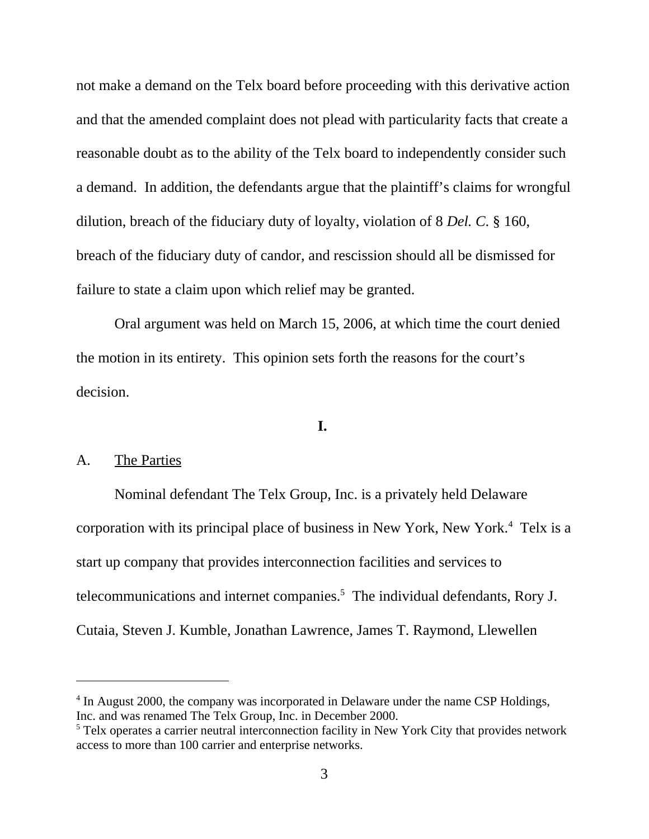not make a demand on the Telx board before proceeding with this derivative action and that the amended complaint does not plead with particularity facts that create a reasonable doubt as to the ability of the Telx board to independently consider such a demand. In addition, the defendants argue that the plaintiff's claims for wrongful dilution, breach of the fiduciary duty of loyalty, violation of 8 *Del. C*. § 160, breach of the fiduciary duty of candor, and rescission should all be dismissed for failure to state a claim upon which relief may be granted.

Oral argument was held on March 15, 2006, at which time the court denied the motion in its entirety. This opinion sets forth the reasons for the court's decision.

### **I.**

### A. The Parties

Nominal defendant The Telx Group, Inc. is a privately held Delaware corporation with its principal place of business in New York, New York.<sup>4</sup> Telx is a start up company that provides interconnection facilities and services to telecommunications and internet companies.<sup>5</sup> The individual defendants, Rory J. Cutaia, Steven J. Kumble, Jonathan Lawrence, James T. Raymond, Llewellen

<sup>4</sup> In August 2000, the company was incorporated in Delaware under the name CSP Holdings, Inc. and was renamed The Telx Group, Inc. in December 2000.

<sup>&</sup>lt;sup>5</sup> Telx operates a carrier neutral interconnection facility in New York City that provides network access to more than 100 carrier and enterprise networks.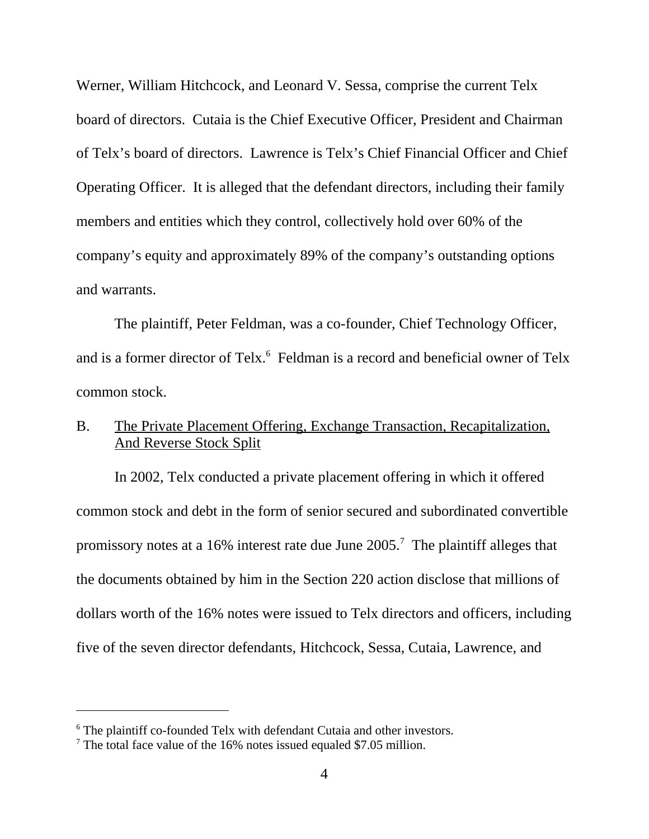Werner, William Hitchcock, and Leonard V. Sessa, comprise the current Telx board of directors. Cutaia is the Chief Executive Officer, President and Chairman of Telx's board of directors. Lawrence is Telx's Chief Financial Officer and Chief Operating Officer. It is alleged that the defendant directors, including their family members and entities which they control, collectively hold over 60% of the company's equity and approximately 89% of the company's outstanding options and warrants.

The plaintiff, Peter Feldman, was a co-founder, Chief Technology Officer, and is a former director of Telx.<sup>6</sup> Feldman is a record and beneficial owner of Telx common stock.

# B. The Private Placement Offering, Exchange Transaction, Recapitalization, And Reverse Stock Split

In 2002, Telx conducted a private placement offering in which it offered common stock and debt in the form of senior secured and subordinated convertible promissory notes at a 16% interest rate due June  $2005$ .<sup>7</sup> The plaintiff alleges that the documents obtained by him in the Section 220 action disclose that millions of dollars worth of the 16% notes were issued to Telx directors and officers, including five of the seven director defendants, Hitchcock, Sessa, Cutaia, Lawrence, and

<sup>&</sup>lt;sup>6</sup> The plaintiff co-founded Telx with defendant Cutaia and other investors.

<sup>&</sup>lt;sup>7</sup> The total face value of the 16% notes issued equaled \$7.05 million.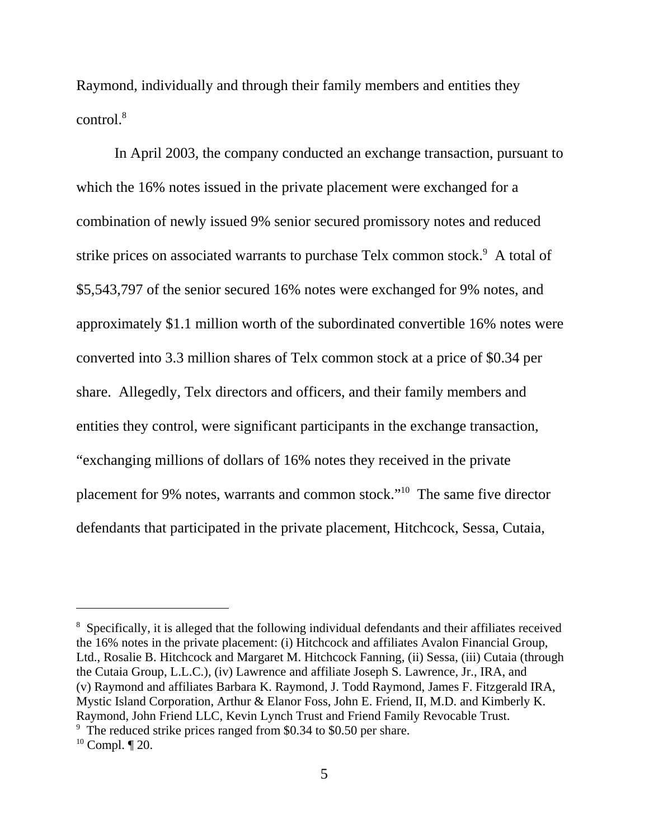Raymond, individually and through their family members and entities they  $control<sup>8</sup>$ 

In April 2003, the company conducted an exchange transaction, pursuant to which the 16% notes issued in the private placement were exchanged for a combination of newly issued 9% senior secured promissory notes and reduced strike prices on associated warrants to purchase Telx common stock.<sup>9</sup> A total of \$5,543,797 of the senior secured 16% notes were exchanged for 9% notes, and approximately \$1.1 million worth of the subordinated convertible 16% notes were converted into 3.3 million shares of Telx common stock at a price of \$0.34 per share. Allegedly, Telx directors and officers, and their family members and entities they control, were significant participants in the exchange transaction, "exchanging millions of dollars of 16% notes they received in the private placement for 9% notes, warrants and common stock."10 The same five director defendants that participated in the private placement, Hitchcock, Sessa, Cutaia,

<sup>&</sup>lt;sup>8</sup> Specifically, it is alleged that the following individual defendants and their affiliates received the 16% notes in the private placement: (i) Hitchcock and affiliates Avalon Financial Group, Ltd., Rosalie B. Hitchcock and Margaret M. Hitchcock Fanning, (ii) Sessa, (iii) Cutaia (through the Cutaia Group, L.L.C.), (iv) Lawrence and affiliate Joseph S. Lawrence, Jr., IRA, and (v) Raymond and affiliates Barbara K. Raymond, J. Todd Raymond, James F. Fitzgerald IRA, Mystic Island Corporation, Arthur & Elanor Foss, John E. Friend, II, M.D. and Kimberly K. Raymond, John Friend LLC, Kevin Lynch Trust and Friend Family Revocable Trust. <sup>9</sup> The reduced strike prices ranged from \$0.34 to \$0.50 per share.

 $10$  Compl.  $\P$  20.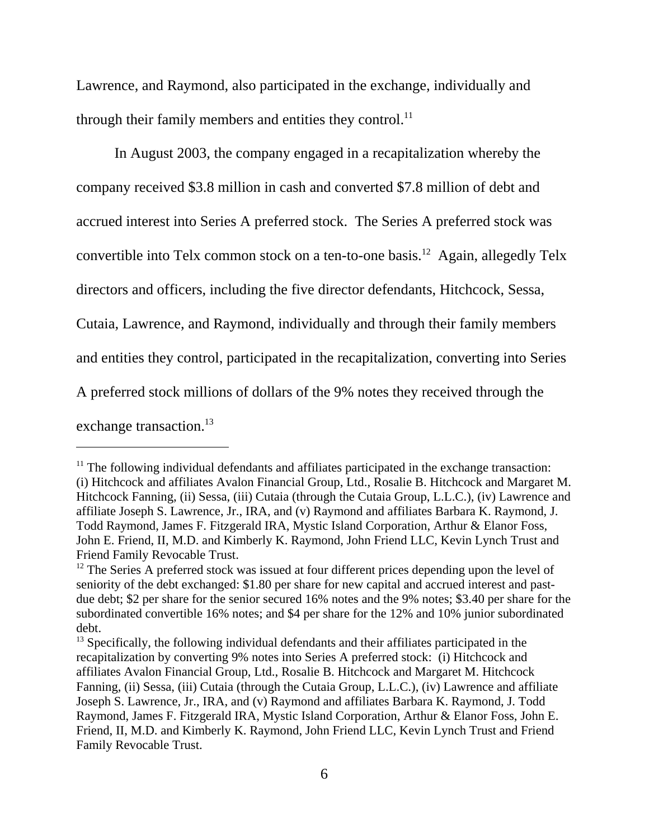Lawrence, and Raymond, also participated in the exchange, individually and through their family members and entities they control.<sup>11</sup>

In August 2003, the company engaged in a recapitalization whereby the company received \$3.8 million in cash and converted \$7.8 million of debt and accrued interest into Series A preferred stock. The Series A preferred stock was convertible into Telx common stock on a ten-to-one basis.<sup>12</sup> Again, allegedly Telx directors and officers, including the five director defendants, Hitchcock, Sessa, Cutaia, Lawrence, and Raymond, individually and through their family members and entities they control, participated in the recapitalization, converting into Series A preferred stock millions of dollars of the 9% notes they received through the exchange transaction.<sup>13</sup>

 $11$  The following individual defendants and affiliates participated in the exchange transaction: (i) Hitchcock and affiliates Avalon Financial Group, Ltd., Rosalie B. Hitchcock and Margaret M. Hitchcock Fanning, (ii) Sessa, (iii) Cutaia (through the Cutaia Group, L.L.C.), (iv) Lawrence and affiliate Joseph S. Lawrence, Jr., IRA, and (v) Raymond and affiliates Barbara K. Raymond, J. Todd Raymond, James F. Fitzgerald IRA, Mystic Island Corporation, Arthur & Elanor Foss, John E. Friend, II, M.D. and Kimberly K. Raymond, John Friend LLC, Kevin Lynch Trust and Friend Family Revocable Trust.

 $12$  The Series A preferred stock was issued at four different prices depending upon the level of seniority of the debt exchanged: \$1.80 per share for new capital and accrued interest and pastdue debt; \$2 per share for the senior secured 16% notes and the 9% notes; \$3.40 per share for the subordinated convertible 16% notes; and \$4 per share for the 12% and 10% junior subordinated debt.

 $13$  Specifically, the following individual defendants and their affiliates participated in the recapitalization by converting 9% notes into Series A preferred stock: (i) Hitchcock and affiliates Avalon Financial Group, Ltd., Rosalie B. Hitchcock and Margaret M. Hitchcock Fanning, (ii) Sessa, (iii) Cutaia (through the Cutaia Group, L.L.C.), (iv) Lawrence and affiliate Joseph S. Lawrence, Jr., IRA, and (v) Raymond and affiliates Barbara K. Raymond, J. Todd Raymond, James F. Fitzgerald IRA, Mystic Island Corporation, Arthur & Elanor Foss, John E. Friend, II, M.D. and Kimberly K. Raymond, John Friend LLC, Kevin Lynch Trust and Friend Family Revocable Trust.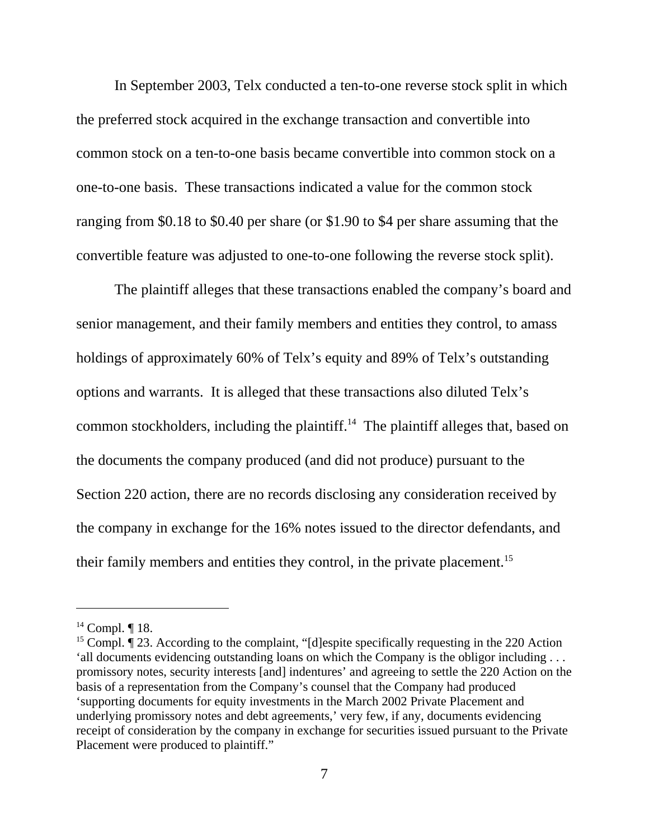In September 2003, Telx conducted a ten-to-one reverse stock split in which the preferred stock acquired in the exchange transaction and convertible into common stock on a ten-to-one basis became convertible into common stock on a one-to-one basis. These transactions indicated a value for the common stock ranging from \$0.18 to \$0.40 per share (or \$1.90 to \$4 per share assuming that the convertible feature was adjusted to one-to-one following the reverse stock split).

The plaintiff alleges that these transactions enabled the company's board and senior management, and their family members and entities they control, to amass holdings of approximately 60% of Telx's equity and 89% of Telx's outstanding options and warrants. It is alleged that these transactions also diluted Telx's common stockholders, including the plaintiff.14 The plaintiff alleges that, based on the documents the company produced (and did not produce) pursuant to the Section 220 action, there are no records disclosing any consideration received by the company in exchange for the 16% notes issued to the director defendants, and their family members and entities they control, in the private placement.<sup>15</sup>

 $14$  Compl. ¶ 18.

<sup>&</sup>lt;sup>15</sup> Compl.  $\P$  23. According to the complaint, "[d]espite specifically requesting in the 220 Action 'all documents evidencing outstanding loans on which the Company is the obligor including . . . promissory notes, security interests [and] indentures' and agreeing to settle the 220 Action on the basis of a representation from the Company's counsel that the Company had produced 'supporting documents for equity investments in the March 2002 Private Placement and underlying promissory notes and debt agreements,' very few, if any, documents evidencing receipt of consideration by the company in exchange for securities issued pursuant to the Private Placement were produced to plaintiff."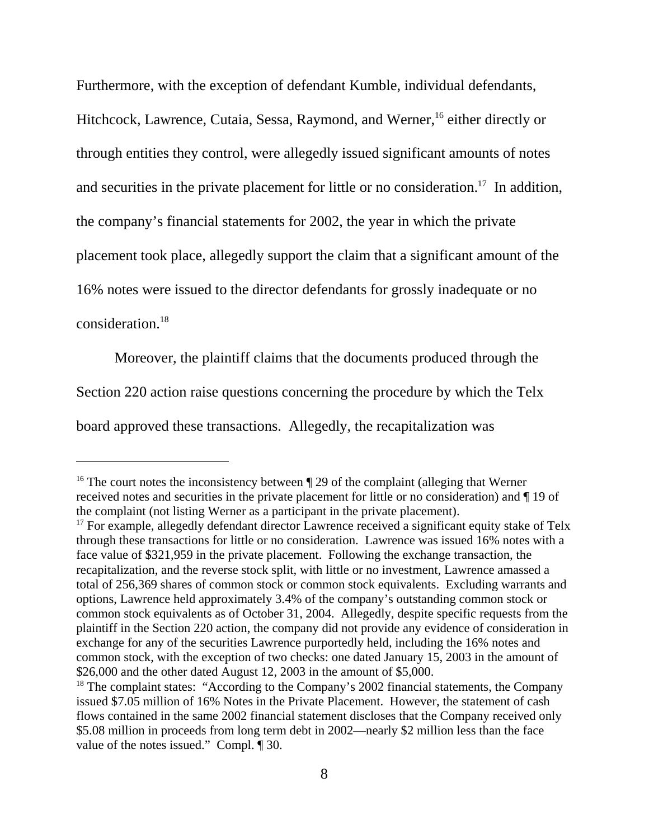Furthermore, with the exception of defendant Kumble, individual defendants,

Hitchcock, Lawrence, Cutaia, Sessa, Raymond, and Werner,<sup>16</sup> either directly or through entities they control, were allegedly issued significant amounts of notes and securities in the private placement for little or no consideration.<sup>17</sup> In addition, the company's financial statements for 2002, the year in which the private placement took place, allegedly support the claim that a significant amount of the 16% notes were issued to the director defendants for grossly inadequate or no consideration.18

Moreover, the plaintiff claims that the documents produced through the Section 220 action raise questions concerning the procedure by which the Telx board approved these transactions. Allegedly, the recapitalization was

<sup>&</sup>lt;sup>16</sup> The court notes the inconsistency between  $\P$  29 of the complaint (alleging that Werner received notes and securities in the private placement for little or no consideration) and ¶ 19 of the complaint (not listing Werner as a participant in the private placement).

 $17$  For example, allegedly defendant director Lawrence received a significant equity stake of Telx through these transactions for little or no consideration. Lawrence was issued 16% notes with a face value of \$321,959 in the private placement. Following the exchange transaction, the recapitalization, and the reverse stock split, with little or no investment, Lawrence amassed a total of 256,369 shares of common stock or common stock equivalents. Excluding warrants and options, Lawrence held approximately 3.4% of the company's outstanding common stock or common stock equivalents as of October 31, 2004. Allegedly, despite specific requests from the plaintiff in the Section 220 action, the company did not provide any evidence of consideration in exchange for any of the securities Lawrence purportedly held, including the 16% notes and common stock, with the exception of two checks: one dated January 15, 2003 in the amount of \$26,000 and the other dated August 12, 2003 in the amount of \$5,000.

<sup>&</sup>lt;sup>18</sup> The complaint states: "According to the Company's 2002 financial statements, the Company issued \$7.05 million of 16% Notes in the Private Placement. However, the statement of cash flows contained in the same 2002 financial statement discloses that the Company received only \$5.08 million in proceeds from long term debt in 2002—nearly \$2 million less than the face value of the notes issued." Compl. ¶ 30.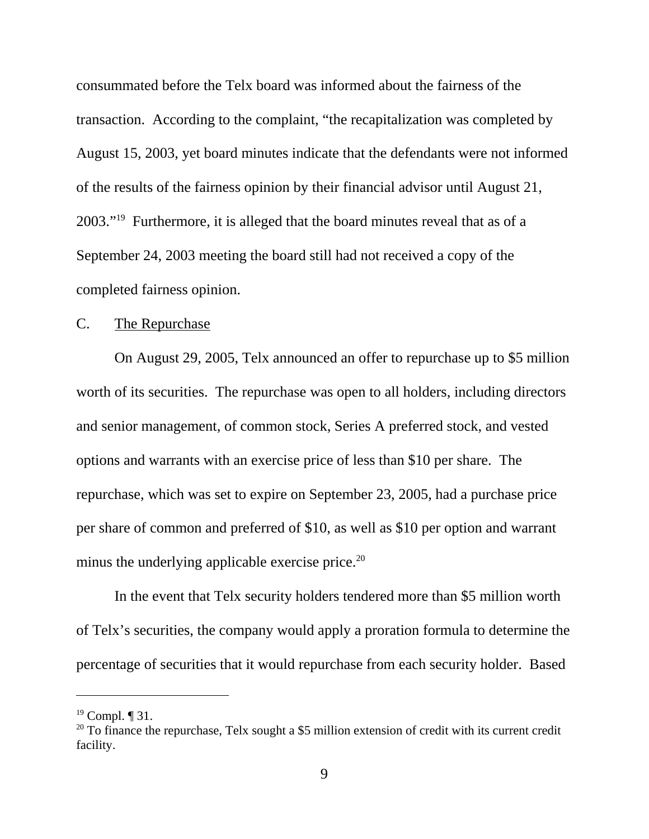consummated before the Telx board was informed about the fairness of the transaction. According to the complaint, "the recapitalization was completed by August 15, 2003, yet board minutes indicate that the defendants were not informed of the results of the fairness opinion by their financial advisor until August 21, 2003."19 Furthermore, it is alleged that the board minutes reveal that as of a September 24, 2003 meeting the board still had not received a copy of the completed fairness opinion.

### C. The Repurchase

On August 29, 2005, Telx announced an offer to repurchase up to \$5 million worth of its securities. The repurchase was open to all holders, including directors and senior management, of common stock, Series A preferred stock, and vested options and warrants with an exercise price of less than \$10 per share. The repurchase, which was set to expire on September 23, 2005, had a purchase price per share of common and preferred of \$10, as well as \$10 per option and warrant minus the underlying applicable exercise price. $^{20}$ 

In the event that Telx security holders tendered more than \$5 million worth of Telx's securities, the company would apply a proration formula to determine the percentage of securities that it would repurchase from each security holder. Based

 $19$  Compl.  $\P$  31.

 $20$  To finance the repurchase, Telx sought a \$5 million extension of credit with its current credit facility.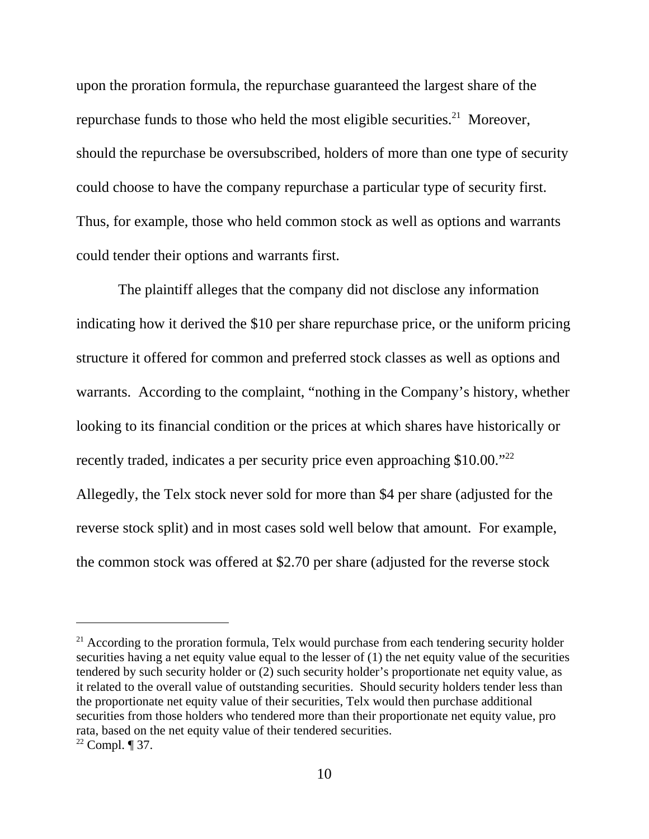upon the proration formula, the repurchase guaranteed the largest share of the repurchase funds to those who held the most eligible securities.<sup>21</sup> Moreover, should the repurchase be oversubscribed, holders of more than one type of security could choose to have the company repurchase a particular type of security first. Thus, for example, those who held common stock as well as options and warrants could tender their options and warrants first.

 The plaintiff alleges that the company did not disclose any information indicating how it derived the \$10 per share repurchase price, or the uniform pricing structure it offered for common and preferred stock classes as well as options and warrants. According to the complaint, "nothing in the Company's history, whether looking to its financial condition or the prices at which shares have historically or recently traded, indicates a per security price even approaching \$10.00.<sup>"22</sup> Allegedly, the Telx stock never sold for more than \$4 per share (adjusted for the reverse stock split) and in most cases sold well below that amount. For example, the common stock was offered at \$2.70 per share (adjusted for the reverse stock

 $21$  According to the proration formula, Telx would purchase from each tendering security holder securities having a net equity value equal to the lesser of (1) the net equity value of the securities tendered by such security holder or (2) such security holder's proportionate net equity value, as it related to the overall value of outstanding securities. Should security holders tender less than the proportionate net equity value of their securities, Telx would then purchase additional securities from those holders who tendered more than their proportionate net equity value, pro rata, based on the net equity value of their tendered securities.  $22$  Compl. ¶ 37.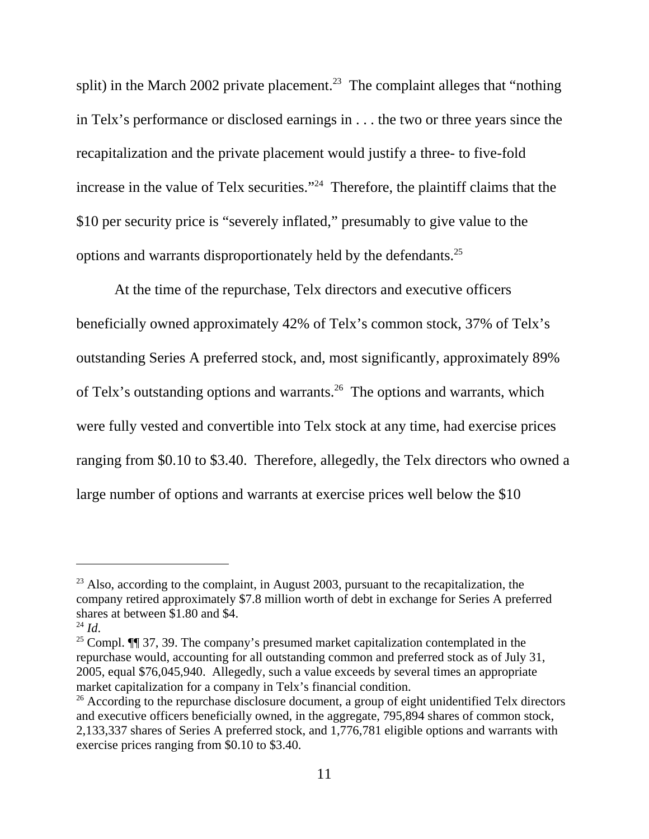split) in the March 2002 private placement.<sup>23</sup> The complaint alleges that "nothing" in Telx's performance or disclosed earnings in . . . the two or three years since the recapitalization and the private placement would justify a three- to five-fold increase in the value of Telx securities."<sup>24</sup> Therefore, the plaintiff claims that the \$10 per security price is "severely inflated," presumably to give value to the options and warrants disproportionately held by the defendants.25

At the time of the repurchase, Telx directors and executive officers beneficially owned approximately 42% of Telx's common stock, 37% of Telx's outstanding Series A preferred stock, and, most significantly, approximately 89% of Telx's outstanding options and warrants.<sup>26</sup> The options and warrants, which were fully vested and convertible into Telx stock at any time, had exercise prices ranging from \$0.10 to \$3.40. Therefore, allegedly, the Telx directors who owned a large number of options and warrants at exercise prices well below the \$10

 $23$  Also, according to the complaint, in August 2003, pursuant to the recapitalization, the company retired approximately \$7.8 million worth of debt in exchange for Series A preferred shares at between \$1.80 and \$4.

<sup>&</sup>lt;sup>24</sup> *Id*. <sup>25</sup> Compl. **[1]** 37, 39. The company's presumed market capitalization contemplated in the repurchase would, accounting for all outstanding common and preferred stock as of July 31, 2005, equal \$76,045,940. Allegedly, such a value exceeds by several times an appropriate market capitalization for a company in Telx's financial condition.

 $26$  According to the repurchase disclosure document, a group of eight unidentified Telx directors and executive officers beneficially owned, in the aggregate, 795,894 shares of common stock, 2,133,337 shares of Series A preferred stock, and 1,776,781 eligible options and warrants with exercise prices ranging from \$0.10 to \$3.40.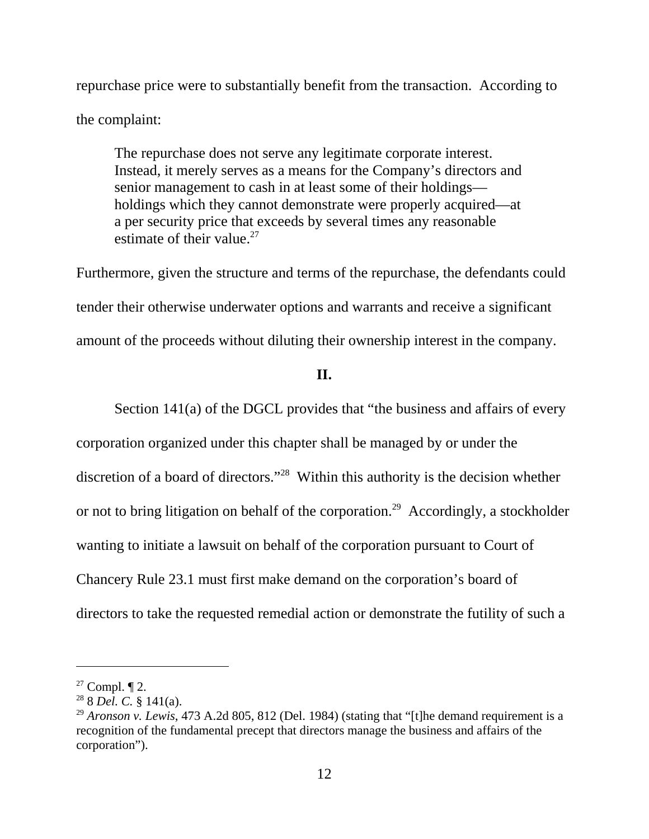repurchase price were to substantially benefit from the transaction. According to the complaint:

The repurchase does not serve any legitimate corporate interest. Instead, it merely serves as a means for the Company's directors and senior management to cash in at least some of their holdings holdings which they cannot demonstrate were properly acquired—at a per security price that exceeds by several times any reasonable estimate of their value.<sup>27</sup>

Furthermore, given the structure and terms of the repurchase, the defendants could tender their otherwise underwater options and warrants and receive a significant amount of the proceeds without diluting their ownership interest in the company.

### **II.**

Section 141(a) of the DGCL provides that "the business and affairs of every corporation organized under this chapter shall be managed by or under the discretion of a board of directors."28 Within this authority is the decision whether or not to bring litigation on behalf of the corporation.<sup>29</sup> Accordingly, a stockholder wanting to initiate a lawsuit on behalf of the corporation pursuant to Court of Chancery Rule 23.1 must first make demand on the corporation's board of directors to take the requested remedial action or demonstrate the futility of such a

 $27$  Compl.  $\P$  2.

<sup>28 8</sup> *Del. C.* § 141(a).

<sup>&</sup>lt;sup>29</sup> *Aronson v. Lewis*, 473 A.2d 805, 812 (Del. 1984) (stating that "[t]he demand requirement is a recognition of the fundamental precept that directors manage the business and affairs of the corporation").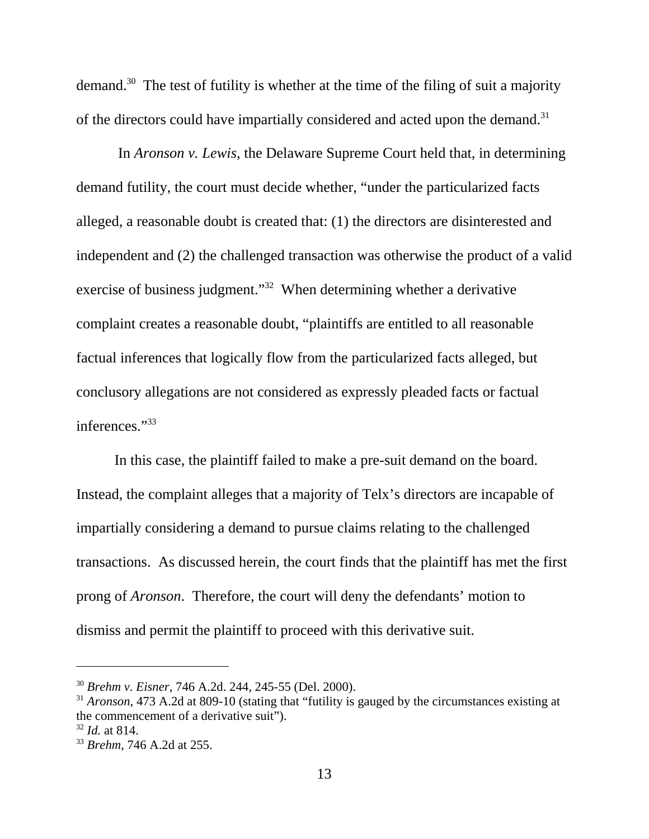demand.30 The test of futility is whether at the time of the filing of suit a majority of the directors could have impartially considered and acted upon the demand.<sup>31</sup>

 In *Aronson v. Lewis*, the Delaware Supreme Court held that, in determining demand futility, the court must decide whether, "under the particularized facts alleged, a reasonable doubt is created that: (1) the directors are disinterested and independent and (2) the challenged transaction was otherwise the product of a valid exercise of business judgment."<sup>32</sup> When determining whether a derivative complaint creates a reasonable doubt, "plaintiffs are entitled to all reasonable factual inferences that logically flow from the particularized facts alleged, but conclusory allegations are not considered as expressly pleaded facts or factual inferences."33

In this case, the plaintiff failed to make a pre-suit demand on the board. Instead, the complaint alleges that a majority of Telx's directors are incapable of impartially considering a demand to pursue claims relating to the challenged transactions. As discussed herein, the court finds that the plaintiff has met the first prong of *Aronson*. Therefore, the court will deny the defendants' motion to dismiss and permit the plaintiff to proceed with this derivative suit.

<sup>30</sup> *Brehm v. Eisner*, 746 A.2d. 244, 245-55 (Del. 2000).

<sup>31</sup> *Aronson*, 473 A.2d at 809-10 (stating that "futility is gauged by the circumstances existing at the commencement of a derivative suit").

<sup>32</sup> *Id.* at 814.

<sup>33</sup> *Brehm*, 746 A.2d at 255.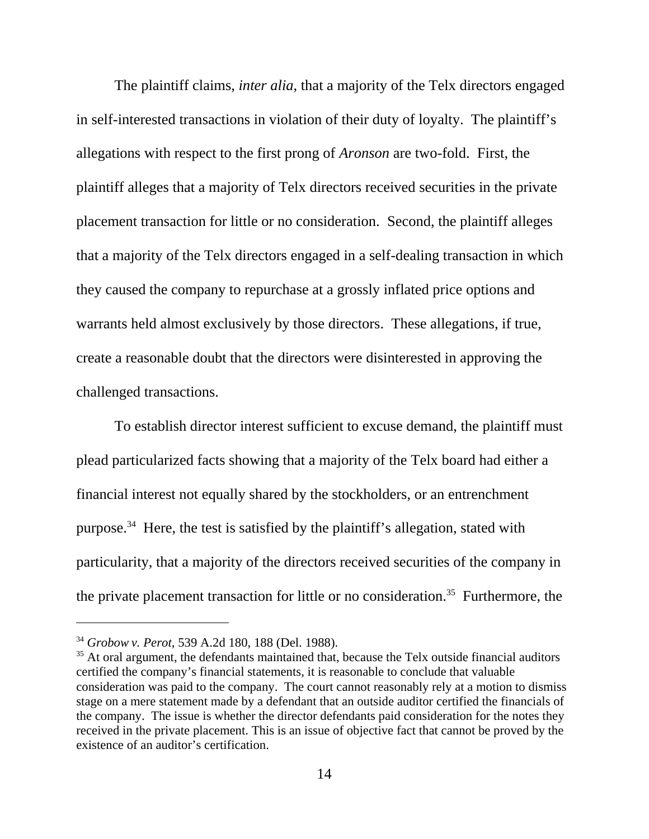The plaintiff claims, *inter alia*, that a majority of the Telx directors engaged in self-interested transactions in violation of their duty of loyalty. The plaintiff's allegations with respect to the first prong of *Aronson* are two-fold. First, the plaintiff alleges that a majority of Telx directors received securities in the private placement transaction for little or no consideration. Second, the plaintiff alleges that a majority of the Telx directors engaged in a self-dealing transaction in which they caused the company to repurchase at a grossly inflated price options and warrants held almost exclusively by those directors. These allegations, if true, create a reasonable doubt that the directors were disinterested in approving the challenged transactions.

To establish director interest sufficient to excuse demand, the plaintiff must plead particularized facts showing that a majority of the Telx board had either a financial interest not equally shared by the stockholders, or an entrenchment purpose.34 Here, the test is satisfied by the plaintiff's allegation, stated with particularity, that a majority of the directors received securities of the company in the private placement transaction for little or no consideration.<sup>35</sup> Furthermore, the

<sup>34</sup> *Grobow v. Perot*, 539 A.2d 180, 188 (Del. 1988).

<sup>&</sup>lt;sup>35</sup> At oral argument, the defendants maintained that, because the Telx outside financial auditors certified the company's financial statements, it is reasonable to conclude that valuable consideration was paid to the company. The court cannot reasonably rely at a motion to dismiss stage on a mere statement made by a defendant that an outside auditor certified the financials of the company. The issue is whether the director defendants paid consideration for the notes they received in the private placement. This is an issue of objective fact that cannot be proved by the existence of an auditor's certification.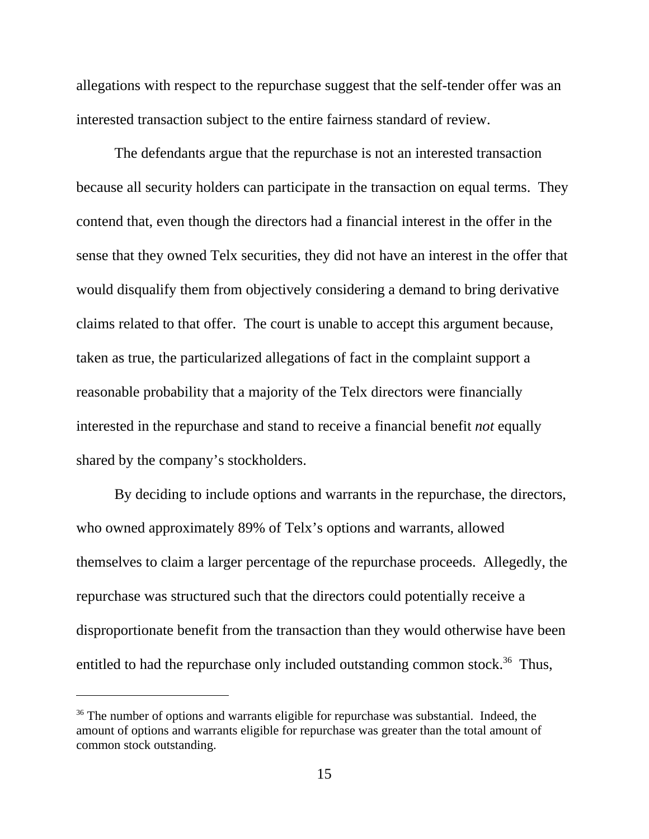allegations with respect to the repurchase suggest that the self-tender offer was an interested transaction subject to the entire fairness standard of review.

The defendants argue that the repurchase is not an interested transaction because all security holders can participate in the transaction on equal terms. They contend that, even though the directors had a financial interest in the offer in the sense that they owned Telx securities, they did not have an interest in the offer that would disqualify them from objectively considering a demand to bring derivative claims related to that offer. The court is unable to accept this argument because, taken as true, the particularized allegations of fact in the complaint support a reasonable probability that a majority of the Telx directors were financially interested in the repurchase and stand to receive a financial benefit *not* equally shared by the company's stockholders.

By deciding to include options and warrants in the repurchase, the directors, who owned approximately 89% of Telx's options and warrants, allowed themselves to claim a larger percentage of the repurchase proceeds. Allegedly, the repurchase was structured such that the directors could potentially receive a disproportionate benefit from the transaction than they would otherwise have been entitled to had the repurchase only included outstanding common stock.<sup>36</sup> Thus,

<sup>&</sup>lt;sup>36</sup> The number of options and warrants eligible for repurchase was substantial. Indeed, the amount of options and warrants eligible for repurchase was greater than the total amount of common stock outstanding.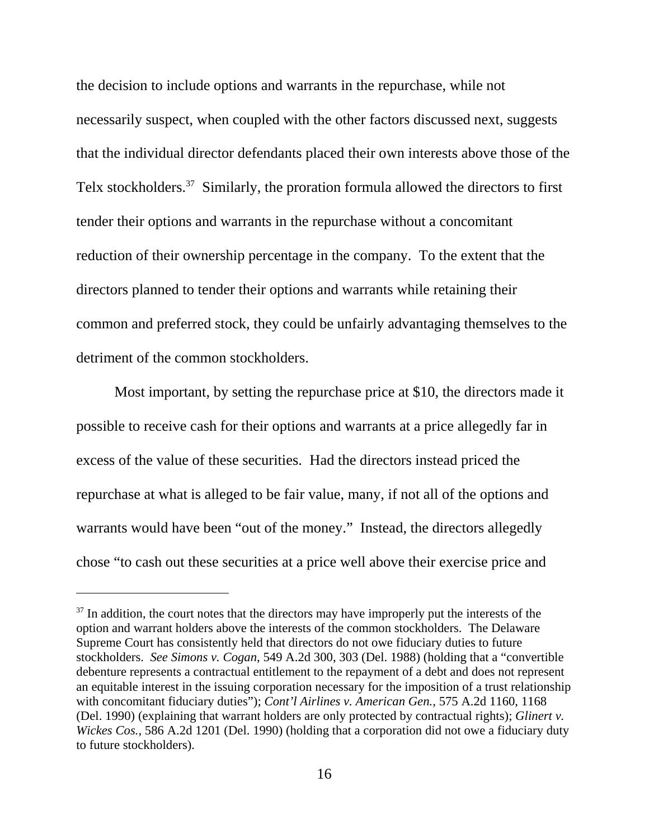the decision to include options and warrants in the repurchase, while not necessarily suspect, when coupled with the other factors discussed next, suggests that the individual director defendants placed their own interests above those of the Telx stockholders.<sup>37</sup> Similarly, the proration formula allowed the directors to first tender their options and warrants in the repurchase without a concomitant reduction of their ownership percentage in the company. To the extent that the directors planned to tender their options and warrants while retaining their common and preferred stock, they could be unfairly advantaging themselves to the detriment of the common stockholders.

Most important, by setting the repurchase price at \$10, the directors made it possible to receive cash for their options and warrants at a price allegedly far in excess of the value of these securities. Had the directors instead priced the repurchase at what is alleged to be fair value, many, if not all of the options and warrants would have been "out of the money." Instead, the directors allegedly chose "to cash out these securities at a price well above their exercise price and

 $37$  In addition, the court notes that the directors may have improperly put the interests of the option and warrant holders above the interests of the common stockholders. The Delaware Supreme Court has consistently held that directors do not owe fiduciary duties to future stockholders. *See Simons v. Cogan*, 549 A.2d 300, 303 (Del. 1988) (holding that a "convertible debenture represents a contractual entitlement to the repayment of a debt and does not represent an equitable interest in the issuing corporation necessary for the imposition of a trust relationship with concomitant fiduciary duties"); *Cont'l Airlines v. American Gen.,* 575 A.2d 1160, 1168 (Del. 1990) (explaining that warrant holders are only protected by contractual rights); *Glinert v. Wickes Cos.*, 586 A.2d 1201 (Del. 1990) (holding that a corporation did not owe a fiduciary duty to future stockholders).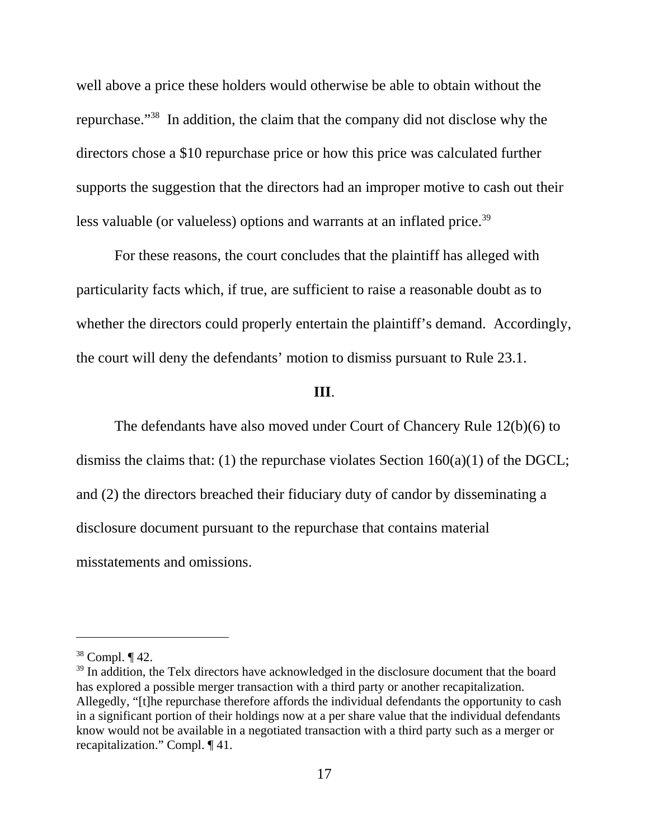well above a price these holders would otherwise be able to obtain without the repurchase."38 In addition, the claim that the company did not disclose why the directors chose a \$10 repurchase price or how this price was calculated further supports the suggestion that the directors had an improper motive to cash out their less valuable (or valueless) options and warrants at an inflated price.<sup>39</sup>

For these reasons, the court concludes that the plaintiff has alleged with particularity facts which, if true, are sufficient to raise a reasonable doubt as to whether the directors could properly entertain the plaintiff's demand. Accordingly, the court will deny the defendants' motion to dismiss pursuant to Rule 23.1.

#### **III**.

The defendants have also moved under Court of Chancery Rule 12(b)(6) to dismiss the claims that: (1) the repurchase violates Section  $160(a)(1)$  of the DGCL; and (2) the directors breached their fiduciary duty of candor by disseminating a disclosure document pursuant to the repurchase that contains material misstatements and omissions.

<sup>38</sup> Compl. ¶ 42.

<sup>&</sup>lt;sup>39</sup> In addition, the Telx directors have acknowledged in the disclosure document that the board has explored a possible merger transaction with a third party or another recapitalization. Allegedly, "[t]he repurchase therefore affords the individual defendants the opportunity to cash in a significant portion of their holdings now at a per share value that the individual defendants know would not be available in a negotiated transaction with a third party such as a merger or recapitalization." Compl. ¶ 41.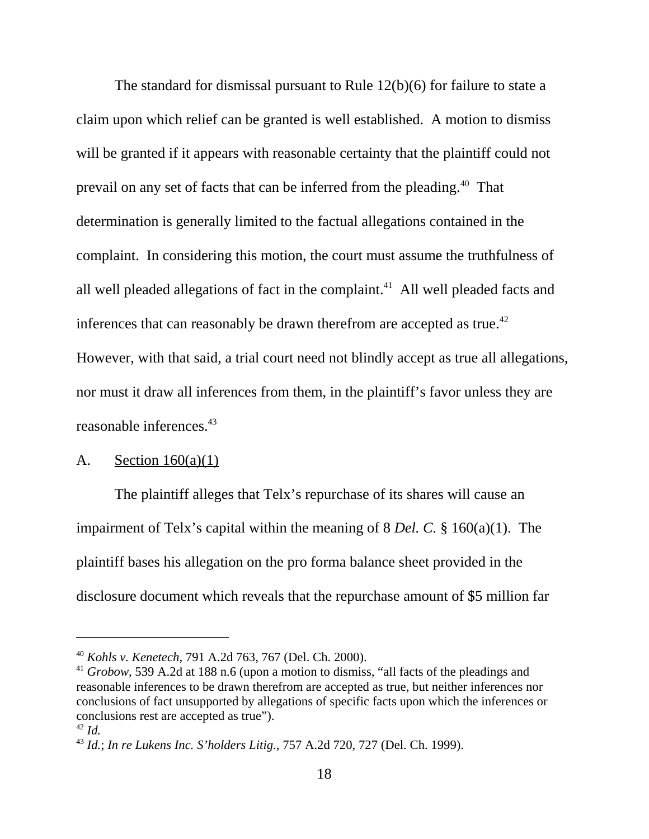The standard for dismissal pursuant to Rule 12(b)(6) for failure to state a claim upon which relief can be granted is well established. A motion to dismiss will be granted if it appears with reasonable certainty that the plaintiff could not prevail on any set of facts that can be inferred from the pleading.40 That determination is generally limited to the factual allegations contained in the complaint. In considering this motion, the court must assume the truthfulness of all well pleaded allegations of fact in the complaint. $41$  All well pleaded facts and inferences that can reasonably be drawn therefrom are accepted as true.<sup>42</sup> However, with that said, a trial court need not blindly accept as true all allegations, nor must it draw all inferences from them, in the plaintiff's favor unless they are reasonable inferences.<sup>43</sup>

### A. Section  $160(a)(1)$

The plaintiff alleges that Telx's repurchase of its shares will cause an impairment of Telx's capital within the meaning of 8 *Del. C.* § 160(a)(1). The plaintiff bases his allegation on the pro forma balance sheet provided in the disclosure document which reveals that the repurchase amount of \$5 million far

<sup>40</sup> *Kohls v. Kenetech,* 791 A.2d 763, 767 (Del. Ch. 2000).

<sup>41</sup> *Grobow*, 539 A.2d at 188 n.6 (upon a motion to dismiss, "all facts of the pleadings and reasonable inferences to be drawn therefrom are accepted as true, but neither inferences nor conclusions of fact unsupported by allegations of specific facts upon which the inferences or conclusions rest are accepted as true"). <sup>42</sup> *Id.*

<sup>43</sup> *Id.*; *In re Lukens Inc. S'holders Litig.,* 757 A.2d 720, 727 (Del. Ch. 1999).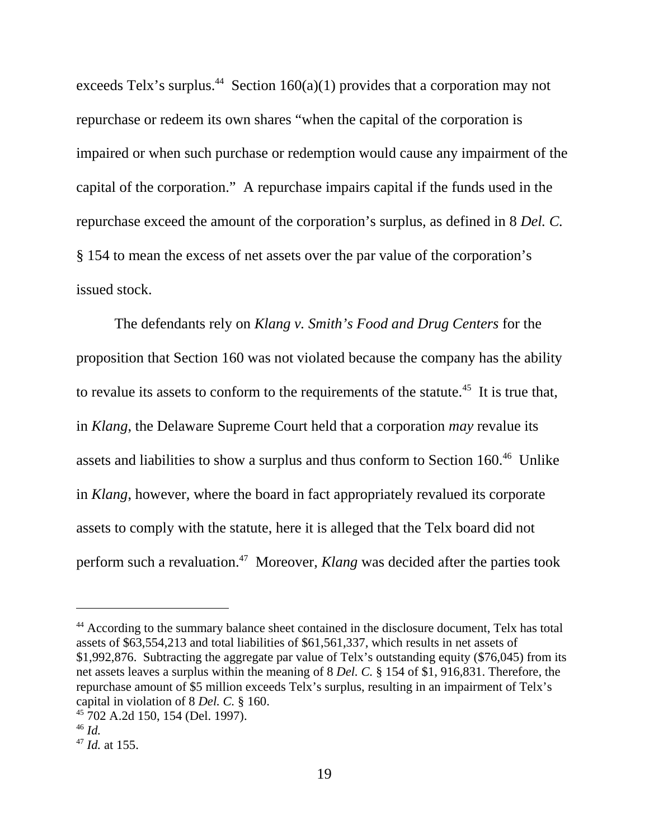exceeds Telx's surplus.<sup>44</sup> Section 160(a)(1) provides that a corporation may not repurchase or redeem its own shares "when the capital of the corporation is impaired or when such purchase or redemption would cause any impairment of the capital of the corporation." A repurchase impairs capital if the funds used in the repurchase exceed the amount of the corporation's surplus, as defined in 8 *Del. C.* § 154 to mean the excess of net assets over the par value of the corporation's issued stock.

The defendants rely on *Klang v. Smith's Food and Drug Centers* for the proposition that Section 160 was not violated because the company has the ability to revalue its assets to conform to the requirements of the statute.<sup>45</sup> It is true that, in *Klang*, the Delaware Supreme Court held that a corporation *may* revalue its assets and liabilities to show a surplus and thus conform to Section 160.<sup>46</sup> Unlike in *Klang*, however, where the board in fact appropriately revalued its corporate assets to comply with the statute, here it is alleged that the Telx board did not perform such a revaluation.47 Moreover, *Klang* was decided after the parties took

<sup>&</sup>lt;sup>44</sup> According to the summary balance sheet contained in the disclosure document, Telx has total assets of \$63,554,213 and total liabilities of \$61,561,337, which results in net assets of \$1,992,876. Subtracting the aggregate par value of Telx's outstanding equity (\$76,045) from its net assets leaves a surplus within the meaning of 8 *Del. C.* § 154 of \$1, 916,831. Therefore, the repurchase amount of \$5 million exceeds Telx's surplus, resulting in an impairment of Telx's capital in violation of 8 *Del. C.* § 160.

<sup>45 702</sup> A.2d 150, 154 (Del. 1997).

<sup>46</sup> *Id.* 

<sup>47</sup> *Id.* at 155.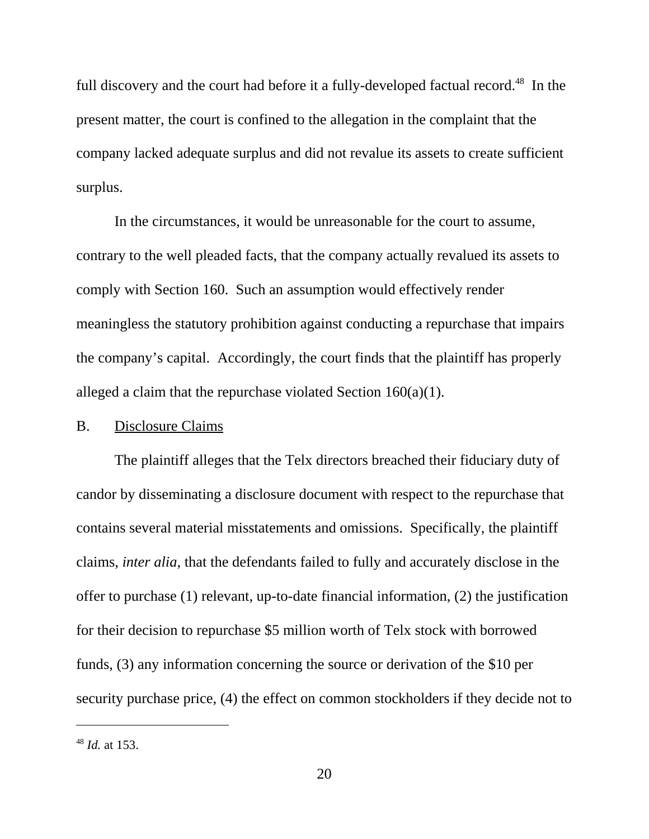full discovery and the court had before it a fully-developed factual record.<sup>48</sup> In the present matter, the court is confined to the allegation in the complaint that the company lacked adequate surplus and did not revalue its assets to create sufficient surplus.

In the circumstances, it would be unreasonable for the court to assume, contrary to the well pleaded facts, that the company actually revalued its assets to comply with Section 160. Such an assumption would effectively render meaningless the statutory prohibition against conducting a repurchase that impairs the company's capital. Accordingly, the court finds that the plaintiff has properly alleged a claim that the repurchase violated Section 160(a)(1).

#### B. Disclosure Claims

The plaintiff alleges that the Telx directors breached their fiduciary duty of candor by disseminating a disclosure document with respect to the repurchase that contains several material misstatements and omissions. Specifically, the plaintiff claims, *inter alia*, that the defendants failed to fully and accurately disclose in the offer to purchase (1) relevant, up-to-date financial information, (2) the justification for their decision to repurchase \$5 million worth of Telx stock with borrowed funds, (3) any information concerning the source or derivation of the \$10 per security purchase price, (4) the effect on common stockholders if they decide not to

<sup>48</sup> *Id.* at 153.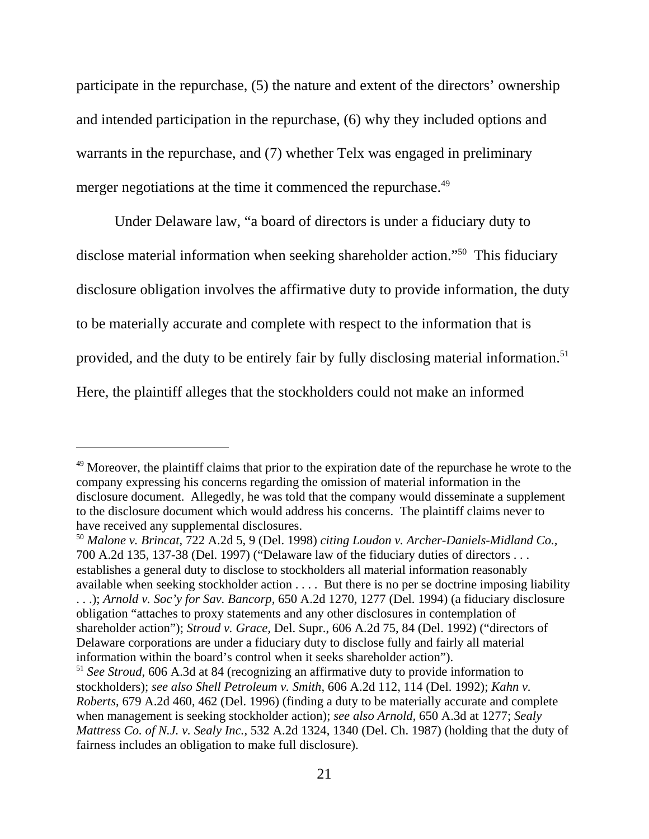participate in the repurchase, (5) the nature and extent of the directors' ownership and intended participation in the repurchase, (6) why they included options and warrants in the repurchase, and (7) whether Telx was engaged in preliminary merger negotiations at the time it commenced the repurchase.<sup>49</sup>

Under Delaware law, "a board of directors is under a fiduciary duty to disclose material information when seeking shareholder action."<sup>50</sup> This fiduciary disclosure obligation involves the affirmative duty to provide information, the duty to be materially accurate and complete with respect to the information that is provided, and the duty to be entirely fair by fully disclosing material information.<sup>51</sup> Here, the plaintiff alleges that the stockholders could not make an informed

<sup>&</sup>lt;sup>49</sup> Moreover, the plaintiff claims that prior to the expiration date of the repurchase he wrote to the company expressing his concerns regarding the omission of material information in the disclosure document. Allegedly, he was told that the company would disseminate a supplement to the disclosure document which would address his concerns. The plaintiff claims never to have received any supplemental disclosures.

<sup>50</sup> *Malone v. Brincat*, 722 A.2d 5, 9 (Del. 1998) *citing Loudon v. Archer-Daniels-Midland Co.,* 700 A.2d 135, 137-38 (Del. 1997) ("Delaware law of the fiduciary duties of directors . . . establishes a general duty to disclose to stockholders all material information reasonably available when seeking stockholder action . . . . But there is no per se doctrine imposing liability . . .); *Arnold v. Soc'y for Sav. Bancorp,* 650 A.2d 1270, 1277 (Del. 1994) (a fiduciary disclosure obligation "attaches to proxy statements and any other disclosures in contemplation of shareholder action"); *Stroud v. Grace,* Del. Supr., 606 A.2d 75, 84 (Del. 1992) ("directors of Delaware corporations are under a fiduciary duty to disclose fully and fairly all material information within the board's control when it seeks shareholder action").

<sup>51</sup> *See Stroud*, 606 A.3d at 84 (recognizing an affirmative duty to provide information to stockholders); *see also Shell Petroleum v. Smith*, 606 A.2d 112, 114 (Del. 1992); *Kahn v. Roberts*, 679 A.2d 460, 462 (Del. 1996) (finding a duty to be materially accurate and complete when management is seeking stockholder action); *see also Arnold*, 650 A.3d at 1277; *Sealy Mattress Co. of N.J. v. Sealy Inc.*, 532 A.2d 1324, 1340 (Del. Ch. 1987) (holding that the duty of fairness includes an obligation to make full disclosure).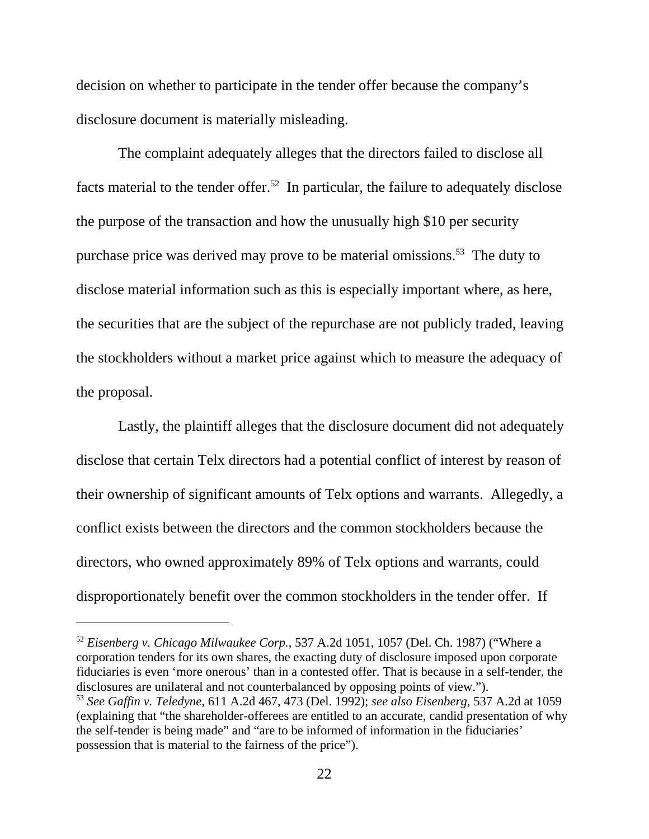decision on whether to participate in the tender offer because the company's disclosure document is materially misleading.

 The complaint adequately alleges that the directors failed to disclose all facts material to the tender offer.<sup>52</sup> In particular, the failure to adequately disclose the purpose of the transaction and how the unusually high \$10 per security purchase price was derived may prove to be material omissions.<sup>53</sup> The duty to disclose material information such as this is especially important where, as here, the securities that are the subject of the repurchase are not publicly traded, leaving the stockholders without a market price against which to measure the adequacy of the proposal.

 Lastly, the plaintiff alleges that the disclosure document did not adequately disclose that certain Telx directors had a potential conflict of interest by reason of their ownership of significant amounts of Telx options and warrants. Allegedly, a conflict exists between the directors and the common stockholders because the directors, who owned approximately 89% of Telx options and warrants, could disproportionately benefit over the common stockholders in the tender offer. If

<sup>52</sup> *Eisenberg v. Chicago Milwaukee Corp.*, 537 A.2d 1051, 1057 (Del. Ch. 1987) ("Where a corporation tenders for its own shares, the exacting duty of disclosure imposed upon corporate fiduciaries is even 'more onerous' than in a contested offer. That is because in a self-tender, the disclosures are unilateral and not counterbalanced by opposing points of view."). <sup>53</sup> *See Gaffin v. Teledyne*, 611 A.2d 467, 473 (Del. 1992); *see also Eisenberg*, 537 A.2d at 1059 (explaining that "the shareholder-offerees are entitled to an accurate, candid presentation of why the self-tender is being made" and "are to be informed of information in the fiduciaries' possession that is material to the fairness of the price").